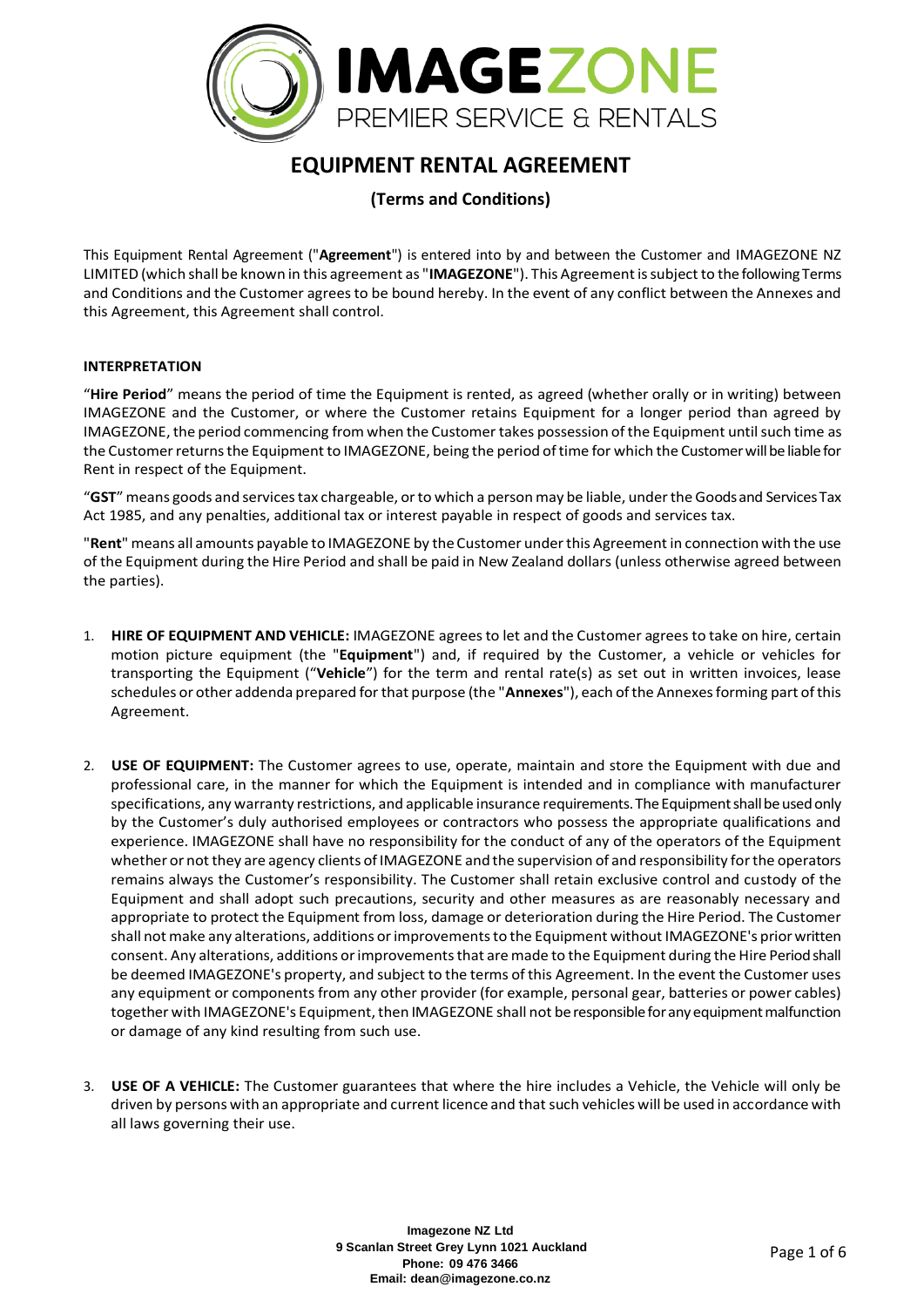

# **EQUIPMENT RENTAL AGREEMENT**

## **(Terms and Conditions)**

This Equipment Rental Agreement ("**Agreement**") is entered into by and between the Customer and IMAGEZONE NZ LIMITED (which shall be known in this agreement as "**IMAGEZONE**"). This Agreement is subject to the following Terms and Conditions and the Customer agrees to be bound hereby. In the event of any conflict between the Annexes and this Agreement, this Agreement shall control.

#### **INTERPRETATION**

"**Hire Period**" means the period of time the Equipment is rented, as agreed (whether orally or in writing) between IMAGEZONE and the Customer, or where the Customer retains Equipment for a longer period than agreed by IMAGEZONE, the period commencing from when the Customer takes possession of the Equipment until such time as the Customer returns the Equipment to IMAGEZONE, being the period of time for which the Customer will be liable for Rent in respect of the Equipment.

"**GST**" means goods and services tax chargeable, or to which a person may be liable, under the Goods and Services Tax Act 1985, and any penalties, additional tax or interest payable in respect of goods and services tax.

"**Rent**" means all amounts payable to IMAGEZONE by the Customer under this Agreement in connection with the use of the Equipment during the Hire Period and shall be paid in New Zealand dollars (unless otherwise agreed between the parties).

- 1. **HIRE OF EQUIPMENT AND VEHICLE:** IMAGEZONE agrees to let and the Customer agrees to take on hire, certain motion picture equipment (the "**Equipment**") and, if required by the Customer, a vehicle or vehicles for transporting the Equipment ("**Vehicle**") for the term and rental rate(s) as set out in written invoices, lease schedules or other addenda prepared for that purpose (the "**Annexes**"), each of the Annexes forming part of this Agreement.
- 2. **USE OF EQUIPMENT:** The Customer agrees to use, operate, maintain and store the Equipment with due and professional care, in the manner for which the Equipment is intended and in compliance with manufacturer specifications, any warranty restrictions, and applicable insurance requirements. The Equipment shall be used only by the Customer's duly authorised employees or contractors who possess the appropriate qualifications and experience. IMAGEZONE shall have no responsibility for the conduct of any of the operators of the Equipment whether or not they are agency clients of IMAGEZONE and the supervision of and responsibility for the operators remains always the Customer's responsibility. The Customer shall retain exclusive control and custody of the Equipment and shall adopt such precautions, security and other measures as are reasonably necessary and appropriate to protect the Equipment from loss, damage or deterioration during the Hire Period. The Customer shall not make any alterations, additions or improvements to the Equipment without IMAGEZONE's prior written consent. Any alterations, additions or improvements that are made to the Equipment during the Hire Period shall be deemed IMAGEZONE's property, and subject to the terms of this Agreement. In the event the Customer uses any equipment or components from any other provider (for example, personal gear, batteries or power cables) together with IMAGEZONE's Equipment, then IMAGEZONE shall not be responsible for any equipment malfunction or damage of any kind resulting from such use.
- 3. **USE OF A VEHICLE:** The Customer guarantees that where the hire includes a Vehicle, the Vehicle will only be driven by persons with an appropriate and current licence and that such vehicles will be used in accordance with all laws governing their use.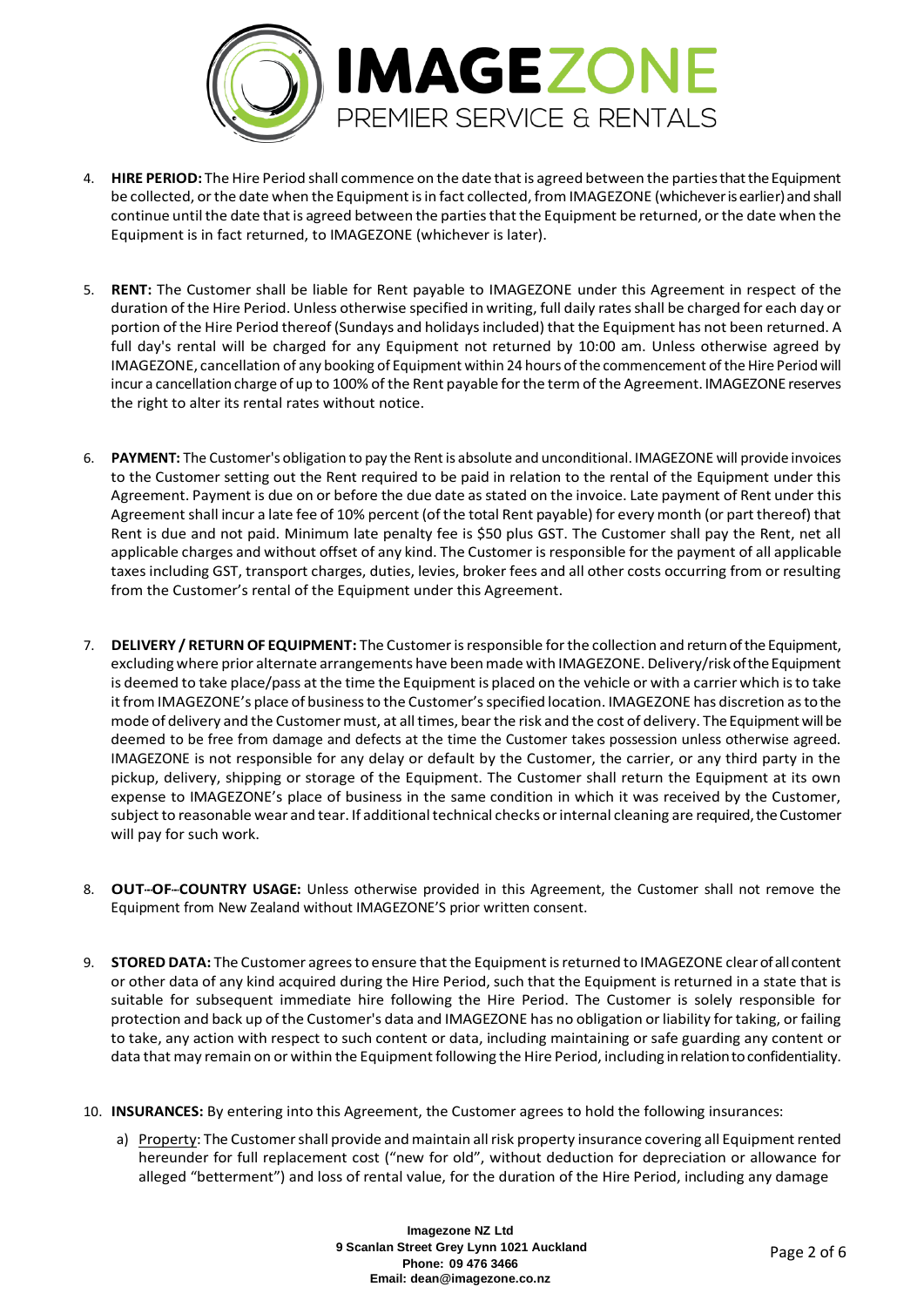

- 4. **HIRE PERIOD:** The Hire Period shall commence on the date that is agreed between the parties that the Equipment be collected, or the date when the Equipment is in fact collected, from IMAGEZONE (whichever is earlier) and shall continue until the date that is agreed between the parties that the Equipment be returned, or the date when the Equipment is in fact returned, to IMAGEZONE (whichever is later).
- 5. **RENT:** The Customer shall be liable for Rent payable to IMAGEZONE under this Agreement in respect of the duration of the Hire Period. Unless otherwise specified in writing, full daily rates shall be charged for each day or portion of the Hire Period thereof (Sundays and holidays included) that the Equipment has not been returned. A full day's rental will be charged for any Equipment not returned by 10:00 am. Unless otherwise agreed by IMAGEZONE, cancellation of any booking of Equipment within 24 hours of the commencement of the Hire Period will incur a cancellation charge of up to 100% of the Rent payable for the term of the Agreement. IMAGEZONE reserves the right to alter its rental rates without notice.
- 6. **PAYMENT:** The Customer's obligation to pay the Rent is absolute and unconditional. IMAGEZONE will provide invoices to the Customer setting out the Rent required to be paid in relation to the rental of the Equipment under this Agreement. Payment is due on or before the due date as stated on the invoice. Late payment of Rent under this Agreement shall incur a late fee of 10% percent (of the total Rent payable) for every month (or part thereof) that Rent is due and not paid. Minimum late penalty fee is \$50 plus GST. The Customer shall pay the Rent, net all applicable charges and without offset of any kind. The Customer is responsible for the payment of all applicable taxes including GST, transport charges, duties, levies, broker fees and all other costs occurring from or resulting from the Customer's rental of the Equipment under this Agreement.
- 7. **DELIVERY / RETURN OF EQUIPMENT:** The Customer is responsible for the collection and return of the Equipment, excluding where prior alternate arrangements have been made with IMAGEZONE. Delivery/risk of the Equipment is deemed to take place/pass at the time the Equipment is placed on the vehicle or with a carrier which is to take it from IMAGEZONE's place of business to the Customer's specified location. IMAGEZONE has discretion as to the mode of delivery and the Customer must, at all times, bear the risk and the cost of delivery. The Equipment will be deemed to be free from damage and defects at the time the Customer takes possession unless otherwise agreed. IMAGEZONE is not responsible for any delay or default by the Customer, the carrier, or any third party in the pickup, delivery, shipping or storage of the Equipment. The Customer shall return the Equipment at its own expense to IMAGEZONE's place of business in the same condition in which it was received by the Customer, subject to reasonable wear and tear. If additional technical checks or internal cleaning are required, the Customer will pay for such work.
- 8. **OUT--OF--COUNTRY USAGE:** Unless otherwise provided in this Agreement, the Customer shall not remove the Equipment from New Zealand without IMAGEZONE'S prior written consent.
- 9. **STORED DATA:** The Customer agrees to ensure that the Equipment is returned to IMAGEZONE clear of all content or other data of any kind acquired during the Hire Period, such that the Equipment is returned in a state that is suitable for subsequent immediate hire following the Hire Period. The Customer is solely responsible for protection and back up of the Customer's data and IMAGEZONE has no obligation or liability for taking, or failing to take, any action with respect to such content or data, including maintaining or safe guarding any content or data that may remain on or within the Equipment following the Hire Period, including in relation to confidentiality.
- 10. **INSURANCES:** By entering into this Agreement, the Customer agrees to hold the following insurances:
	- a) Property: The Customer shall provide and maintain all risk property insurance covering all Equipment rented hereunder for full replacement cost ("new for old", without deduction for depreciation or allowance for alleged "betterment") and loss of rental value, for the duration of the Hire Period, including any damage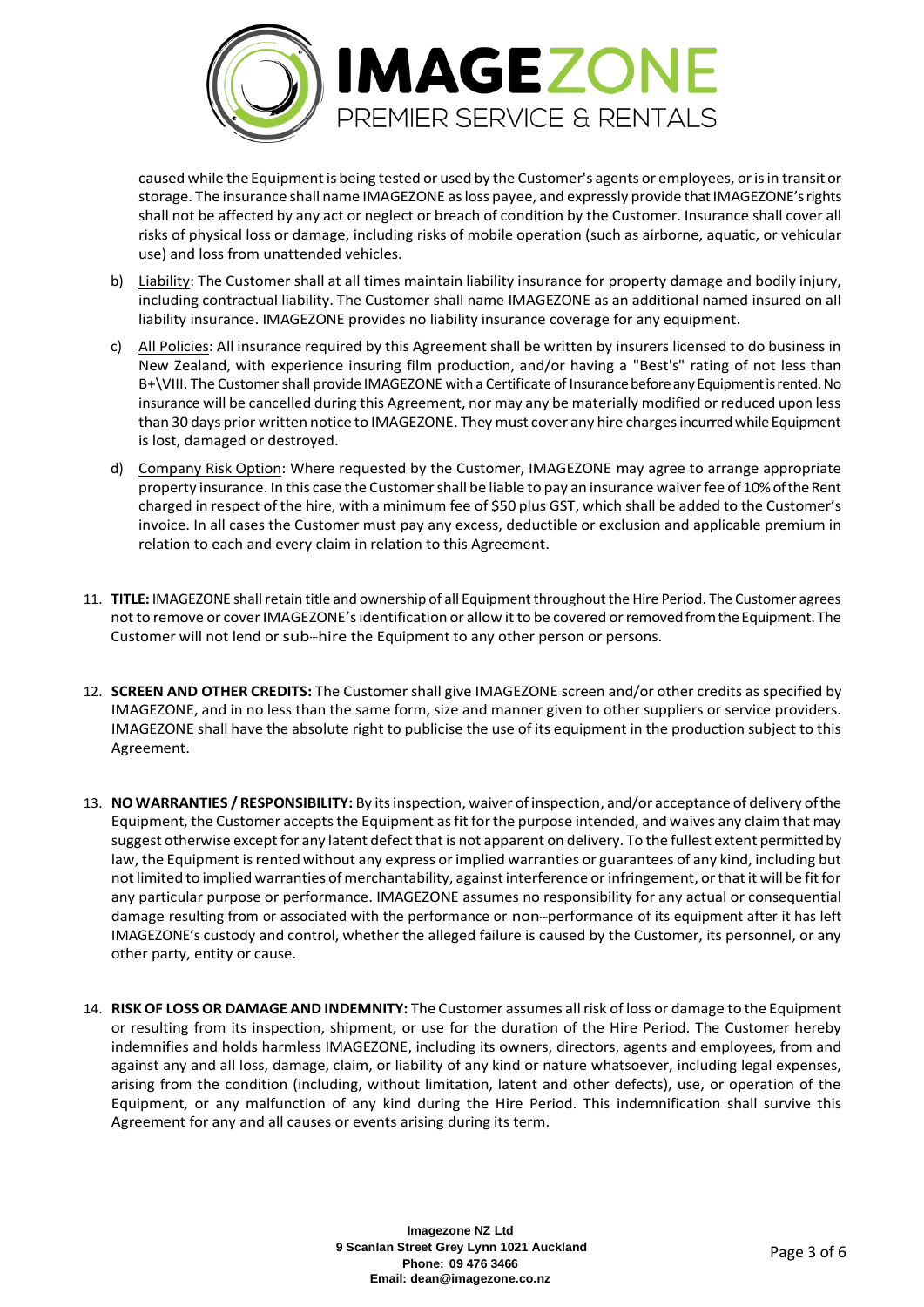

caused while the Equipment is being tested or used by the Customer's agents or employees, or is in transit or storage. The insurance shall name IMAGEZONE as loss payee, and expressly provide that IMAGEZONE's rights shall not be affected by any act or neglect or breach of condition by the Customer. Insurance shall cover all risks of physical loss or damage, including risks of mobile operation (such as airborne, aquatic, or vehicular use) and loss from unattended vehicles.

- b) Liability: The Customer shall at all times maintain liability insurance for property damage and bodily injury, including contractual liability. The Customer shall name IMAGEZONE as an additional named insured on all liability insurance. IMAGEZONE provides no liability insurance coverage for any equipment.
- c) All Policies: All insurance required by this Agreement shall be written by insurers licensed to do business in New Zealand, with experience insuring film production, and/or having a "Best's" rating of not less than B+\VIII. The Customer shall provide IMAGEZONE with a Certificate of Insurance before any Equipment is rented. No insurance will be cancelled during this Agreement, nor may any be materially modified or reduced upon less than 30 days prior written notice to IMAGEZONE. They must cover any hire charges incurred while Equipment is lost, damaged or destroyed.
- d) Company Risk Option: Where requested by the Customer, IMAGEZONE may agree to arrange appropriate property insurance. In this case the Customer shall be liable to pay an insurance waiver fee of 10% of the Rent charged in respect of the hire, with a minimum fee of \$50 plus GST, which shall be added to the Customer's invoice. In all cases the Customer must pay any excess, deductible or exclusion and applicable premium in relation to each and every claim in relation to this Agreement.
- 11. **TITLE:** IMAGEZONE shall retain title and ownership of all Equipment throughout the Hire Period. The Customer agrees not to remove or cover IMAGEZONE's identification or allow it to be covered or removed from the Equipment. The Customer will not lend or sub--hire the Equipment to any other person or persons.
- 12. **SCREEN AND OTHER CREDITS:** The Customer shall give IMAGEZONE screen and/or other credits as specified by IMAGEZONE, and in no less than the same form, size and manner given to other suppliers or service providers. IMAGEZONE shall have the absolute right to publicise the use of its equipment in the production subject to this Agreement.
- 13. **NO WARRANTIES / RESPONSIBILITY:** By its inspection, waiver of inspection, and/or acceptance of delivery of the Equipment, the Customer accepts the Equipment as fit for the purpose intended, and waives any claim that may suggest otherwise except for any latent defect that is not apparent on delivery. To the fullest extent permitted by law, the Equipment is rented without any express or implied warranties or guarantees of any kind, including but not limited to implied warranties of merchantability, against interference or infringement, or that it will be fit for any particular purpose or performance. IMAGEZONE assumes no responsibility for any actual or consequential damage resulting from or associated with the performance or non--performance of its equipment after it has left IMAGEZONE's custody and control, whether the alleged failure is caused by the Customer, its personnel, or any other party, entity or cause.
- 14. **RISK OF LOSS OR DAMAGE AND INDEMNITY:** The Customer assumes all risk of loss or damage to the Equipment or resulting from its inspection, shipment, or use for the duration of the Hire Period. The Customer hereby indemnifies and holds harmless IMAGEZONE, including its owners, directors, agents and employees, from and against any and all loss, damage, claim, or liability of any kind or nature whatsoever, including legal expenses, arising from the condition (including, without limitation, latent and other defects), use, or operation of the Equipment, or any malfunction of any kind during the Hire Period. This indemnification shall survive this Agreement for any and all causes or events arising during its term.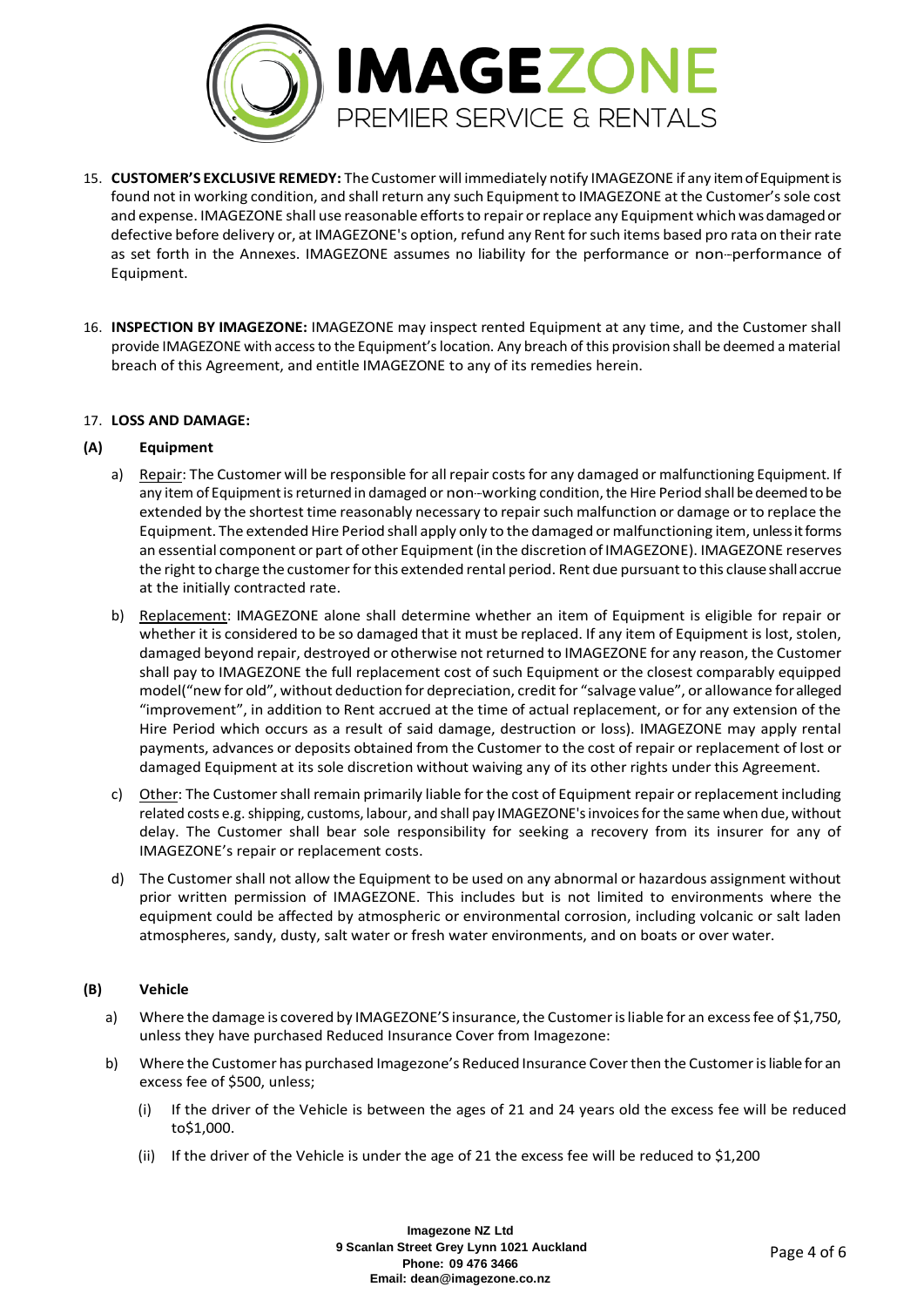

- 15. **CUSTOMER'S EXCLUSIVE REMEDY:** The Customer will immediately notify IMAGEZONE if any item of Equipment is found not in working condition, and shall return any such Equipment to IMAGEZONE at the Customer's sole cost and expense. IMAGEZONE shall use reasonable efforts to repair or replace any Equipment which was damaged or defective before delivery or, at IMAGEZONE's option, refund any Rent for such items based pro rata on their rate as set forth in the Annexes. IMAGEZONE assumes no liability for the performance or non--performance of Equipment.
- 16. **INSPECTION BY IMAGEZONE:** IMAGEZONE may inspect rented Equipment at any time, and the Customer shall provide IMAGEZONE with access to the Equipment's location. Any breach of this provision shall be deemed a material breach of this Agreement, and entitle IMAGEZONE to any of its remedies herein.

#### 17. **LOSS AND DAMAGE:**

#### **(A) Equipment**

- a) Repair: The Customer will be responsible for all repair costs for any damaged or malfunctioning Equipment. If any item of Equipment is returned in damaged or non--working condition, the Hire Period shall be deemed to be extended by the shortest time reasonably necessary to repair such malfunction or damage or to replace the Equipment. The extended Hire Period shall apply only to the damaged or malfunctioning item, unless it forms an essential component or part of other Equipment (in the discretion of IMAGEZONE). IMAGEZONE reserves the right to charge the customer for this extended rental period. Rent due pursuant to this clause shall accrue at the initially contracted rate.
- b) Replacement: IMAGEZONE alone shall determine whether an item of Equipment is eligible for repair or whether it is considered to be so damaged that it must be replaced. If any item of Equipment is lost, stolen, damaged beyond repair, destroyed or otherwise not returned to IMAGEZONE for any reason, the Customer shall pay to IMAGEZONE the full replacement cost of such Equipment or the closest comparably equipped model("new for old", without deduction for depreciation, credit for "salvage value", or allowance for alleged "improvement", in addition to Rent accrued at the time of actual replacement, or for any extension of the Hire Period which occurs as a result of said damage, destruction or loss). IMAGEZONE may apply rental payments, advances or deposits obtained from the Customer to the cost of repair or replacement of lost or damaged Equipment at its sole discretion without waiving any of its other rights under this Agreement.
- c) Other: The Customer shall remain primarily liable for the cost of Equipment repair or replacement including related costs e.g. shipping, customs, labour, and shall pay IMAGEZONE's invoices for the same when due, without delay. The Customer shall bear sole responsibility for seeking a recovery from its insurer for any of IMAGEZONE's repair or replacement costs.
- d) The Customer shall not allow the Equipment to be used on any abnormal or hazardous assignment without prior written permission of IMAGEZONE. This includes but is not limited to environments where the equipment could be affected by atmospheric or environmental corrosion, including volcanic or salt laden atmospheres, sandy, dusty, salt water or fresh water environments, and on boats or over water.

### **(B) Vehicle**

- a) Where the damage is covered by IMAGEZONE'S insurance, the Customer is liable for an excess fee of \$1,750, unless they have purchased Reduced Insurance Cover from Imagezone:
- b) Where the Customer has purchased Imagezone's Reduced Insurance Cover then the Customer is liable for an excess fee of \$500, unless;
	- (i) If the driver of the Vehicle is between the ages of 21 and 24 years old the excess fee will be reduced to\$1,000.
	- (ii) If the driver of the Vehicle is under the age of 21 the excess fee will be reduced to \$1,200

**Imagezone NZ Ltd 9 Scanlan Street Grey Lynn 1021 Auckland Phone: 09 476 3466 Email: dean@imagezone.co.nz**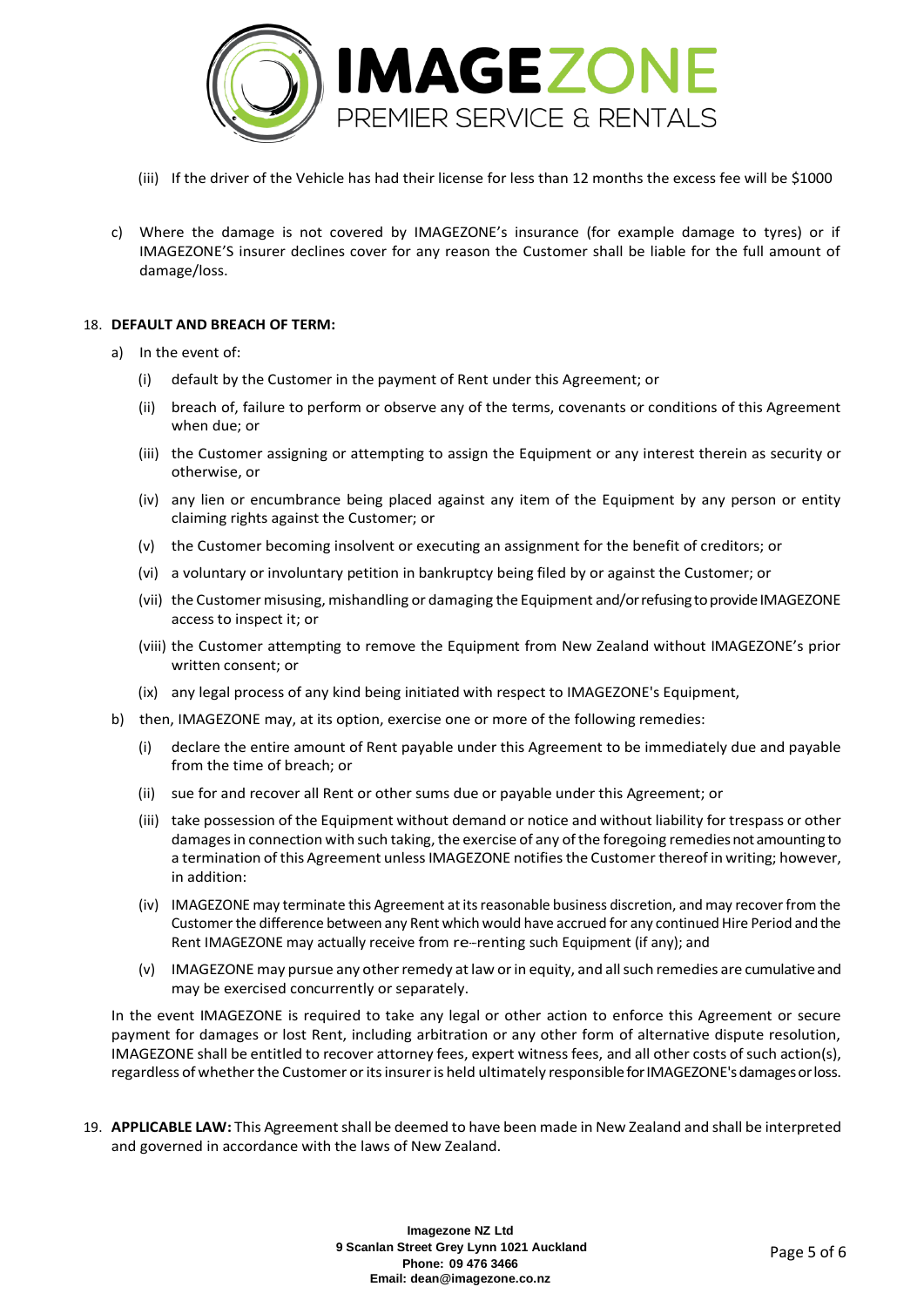

- (iii) If the driver of the Vehicle has had their license for less than 12 months the excess fee will be \$1000
- c) Where the damage is not covered by IMAGEZONE's insurance (for example damage to tyres) or if IMAGEZONE'S insurer declines cover for any reason the Customer shall be liable for the full amount of damage/loss.

#### 18. **DEFAULT AND BREACH OF TERM:**

- a) In the event of:
	- (i) default by the Customer in the payment of Rent under this Agreement; or
	- (ii) breach of, failure to perform or observe any of the terms, covenants or conditions of this Agreement when due; or
	- (iii) the Customer assigning or attempting to assign the Equipment or any interest therein as security or otherwise, or
	- (iv) any lien or encumbrance being placed against any item of the Equipment by any person or entity claiming rights against the Customer; or
	- (v) the Customer becoming insolvent or executing an assignment for the benefit of creditors; or
	- (vi) a voluntary or involuntary petition in bankruptcy being filed by or against the Customer; or
	- (vii) the Customer misusing, mishandling or damaging the Equipment and/or refusing to provide IMAGEZONE access to inspect it; or
	- (viii) the Customer attempting to remove the Equipment from New Zealand without IMAGEZONE's prior written consent; or
	- (ix) any legal process of any kind being initiated with respect to IMAGEZONE's Equipment,
- b) then, IMAGEZONE may, at its option, exercise one or more of the following remedies:
	- (i) declare the entire amount of Rent payable under this Agreement to be immediately due and payable from the time of breach; or
	- (ii) sue for and recover all Rent or other sums due or payable under this Agreement; or
	- (iii) take possession of the Equipment without demand or notice and without liability for trespass or other damages in connection with such taking, the exercise of any of the foregoing remedies not amounting to a termination of this Agreement unless IMAGEZONE notifies the Customer thereof in writing; however, in addition:
	- (iv) IMAGEZONE may terminate this Agreement at its reasonable business discretion, and may recover from the Customer the difference between any Rent which would have accrued for any continued Hire Period and the Rent IMAGEZONE may actually receive from re--renting such Equipment (if any); and
	- (v) IMAGEZONE may pursue any other remedy at law or in equity, and all such remedies are cumulative and may be exercised concurrently or separately.

In the event IMAGEZONE is required to take any legal or other action to enforce this Agreement or secure payment for damages or lost Rent, including arbitration or any other form of alternative dispute resolution, IMAGEZONE shall be entitled to recover attorney fees, expert witness fees, and all other costs of such action(s), regardless of whether the Customer or its insurer is held ultimately responsible for IMAGEZONE's damages or loss.

19. **APPLICABLE LAW:** This Agreement shall be deemed to have been made in New Zealand and shall be interpreted and governed in accordance with the laws of New Zealand.

> **Imagezone NZ Ltd 9 Scanlan Street Grey Lynn 1021 Auckland Phone: 09 476 3466 Email: dean@imagezone.co.nz**